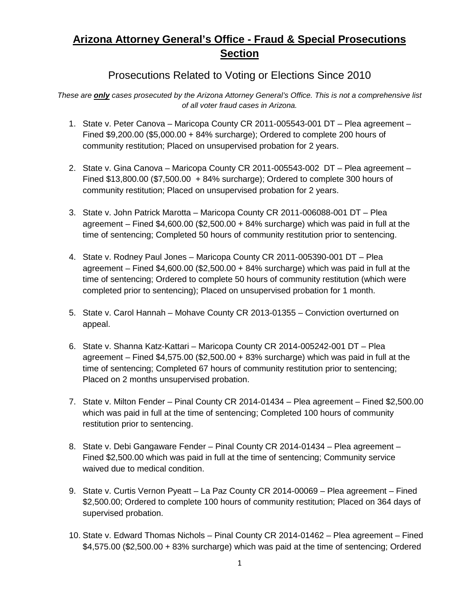## **Arizona Attorney General's Office - Fraud & Special Prosecutions Section**

## Prosecutions Related to Voting or Elections Since 2010

*These are only cases prosecuted by the Arizona Attorney General's Office. This is not a comprehensive list of all voter fraud cases in Arizona.*

- 1. State v. Peter Canova Maricopa County CR 2011-005543-001 DT Plea agreement Fined \$9,200.00 (\$5,000.00 + 84% surcharge); Ordered to complete 200 hours of community restitution; Placed on unsupervised probation for 2 years.
- 2. State v. Gina Canova Maricopa County CR 2011-005543-002 DT Plea agreement Fined \$13,800.00 (\$7,500.00 + 84% surcharge); Ordered to complete 300 hours of community restitution; Placed on unsupervised probation for 2 years.
- 3. State v. John Patrick Marotta Maricopa County CR 2011-006088-001 DT Plea agreement – Fined  $$4,600.00$  ( $$2,500.00 + 84\%$  surcharge) which was paid in full at the time of sentencing; Completed 50 hours of community restitution prior to sentencing.
- 4. State v. Rodney Paul Jones Maricopa County CR 2011-005390-001 DT Plea agreement – Fined \$4,600.00 (\$2,500.00 + 84% surcharge) which was paid in full at the time of sentencing; Ordered to complete 50 hours of community restitution (which were completed prior to sentencing); Placed on unsupervised probation for 1 month.
- 5. State v. Carol Hannah Mohave County CR 2013-01355 Conviction overturned on appeal.
- 6. State v. Shanna Katz-Kattari Maricopa County CR 2014-005242-001 DT Plea agreement – Fined \$4,575.00 (\$2,500.00 + 83% surcharge) which was paid in full at the time of sentencing; Completed 67 hours of community restitution prior to sentencing; Placed on 2 months unsupervised probation.
- 7. State v. Milton Fender Pinal County CR 2014-01434 Plea agreement Fined \$2,500.00 which was paid in full at the time of sentencing; Completed 100 hours of community restitution prior to sentencing.
- 8. State v. Debi Gangaware Fender Pinal County CR 2014-01434 Plea agreement Fined \$2,500.00 which was paid in full at the time of sentencing; Community service waived due to medical condition.
- 9. State v. Curtis Vernon Pyeatt La Paz County CR 2014-00069 Plea agreement Fined \$2,500.00; Ordered to complete 100 hours of community restitution; Placed on 364 days of supervised probation.
- 10. State v. Edward Thomas Nichols Pinal County CR 2014-01462 Plea agreement Fined \$4,575.00 (\$2,500.00 + 83% surcharge) which was paid at the time of sentencing; Ordered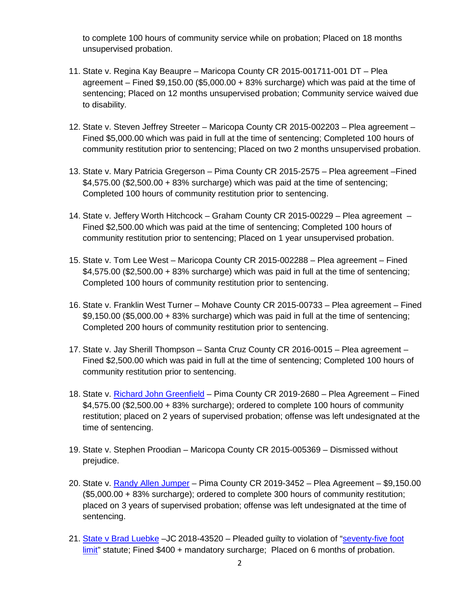to complete 100 hours of community service while on probation; Placed on 18 months unsupervised probation.

- 11. State v. Regina Kay Beaupre Maricopa County CR 2015-001711-001 DT Plea agreement – Fined \$9,150.00 (\$5,000.00 + 83% surcharge) which was paid at the time of sentencing; Placed on 12 months unsupervised probation; Community service waived due to disability.
- 12. State v. Steven Jeffrey Streeter Maricopa County CR 2015-002203 Plea agreement Fined \$5,000.00 which was paid in full at the time of sentencing; Completed 100 hours of community restitution prior to sentencing; Placed on two 2 months unsupervised probation.
- 13. State v. Mary Patricia Gregerson Pima County CR 2015-2575 Plea agreement –Fined \$4,575.00 (\$2,500.00 + 83% surcharge) which was paid at the time of sentencing; Completed 100 hours of community restitution prior to sentencing.
- 14. State v. Jeffery Worth Hitchcock Graham County CR 2015-00229 Plea agreement Fined \$2,500.00 which was paid at the time of sentencing; Completed 100 hours of community restitution prior to sentencing; Placed on 1 year unsupervised probation.
- 15. State v. Tom Lee West Maricopa County CR 2015-002288 Plea agreement Fined  $$4,575.00$  (\$2,500.00 + 83% surcharge) which was paid in full at the time of sentencing; Completed 100 hours of community restitution prior to sentencing.
- 16. State v. Franklin West Turner Mohave County CR 2015-00733 Plea agreement Fined \$9,150.00 (\$5,000.00 + 83% surcharge) which was paid in full at the time of sentencing; Completed 200 hours of community restitution prior to sentencing.
- 17. State v. Jay Sherill Thompson Santa Cruz County CR 2016-0015 Plea agreement Fined \$2,500.00 which was paid in full at the time of sentencing; Completed 100 hours of community restitution prior to sentencing.
- 18. State v. [Richard John Greenfield](https://www.azag.gov/press-release/arizona-man-sentenced-two-years-probation-voter-fraud) Pima County CR 2019-2680 Plea Agreement Fined \$4,575.00 (\$2,500.00 + 83% surcharge); ordered to complete 100 hours of community restitution; placed on 2 years of supervised probation; offense was left undesignated at the time of sentencing.
- 19. State v. Stephen Proodian Maricopa County CR 2015-005369 Dismissed without prejudice.
- 20. State v. [Randy Allen Jumper](https://www.azag.gov/press-release/former-tucson-man-sentenced-double-voting-2016-election) Pima County CR 2019-3452 Plea Agreement \$9,150.00 (\$5,000.00 + 83% surcharge); ordered to complete 300 hours of community restitution; placed on 3 years of supervised probation; offense was left undesignated at the time of sentencing.
- 21. [State v Brad Luebke](https://www.azag.gov/press-release/goodyear-man-receives-probation-and-fine-disrupting-polling-place-2018) –JC 2018-43520 Pleaded guilty to violation of ["seventy-five foot](https://www.azleg.gov/ars/16/00515.htm)  [limit"](https://www.azleg.gov/ars/16/00515.htm) statute; Fined \$400 + mandatory surcharge; Placed on 6 months of probation.